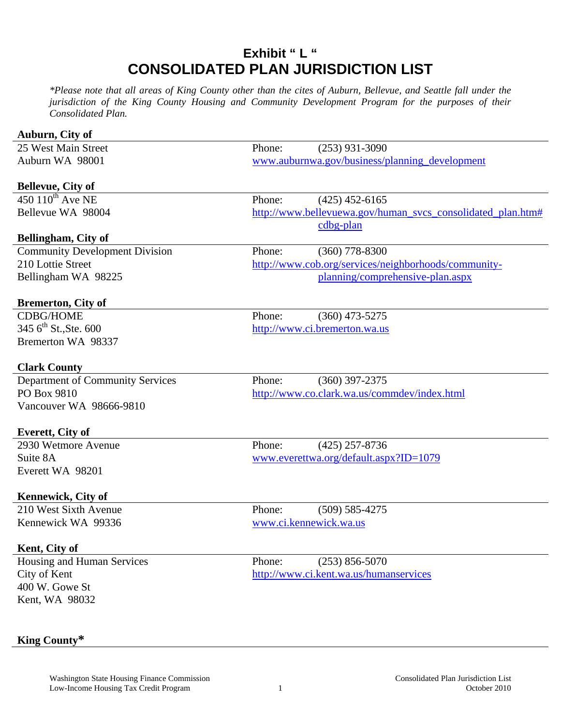## **Exhibit " L " CONSOLIDATED PLAN JURISDICTION LIST**

*\*Please note that all areas of King County other than the cites of Auburn, Bellevue, and Seattle fall under the jurisdiction of the King County Housing and Community Development Program for the purposes of their Consolidated Plan.* 

| Auburn, City of                                    |                                                |                                                             |  |
|----------------------------------------------------|------------------------------------------------|-------------------------------------------------------------|--|
| 25 West Main Street                                | Phone:                                         | $(253)$ 931-3090                                            |  |
| Auburn WA 98001                                    | www.auburnwa.gov/business/planning_development |                                                             |  |
|                                                    |                                                |                                                             |  |
| <b>Bellevue, City of</b>                           |                                                |                                                             |  |
| 450 $110^{\text{th}}$ Ave NE                       | Phone:                                         | $(425)$ 452-6165                                            |  |
| Bellevue WA 98004                                  |                                                | http://www.bellevuewa.gov/human_svcs_consolidated_plan.htm# |  |
|                                                    |                                                | cdbg-plan                                                   |  |
| Bellingham, City of                                |                                                |                                                             |  |
| <b>Community Development Division</b>              | Phone:                                         | $(360)$ 778-8300                                            |  |
| 210 Lottie Street                                  |                                                | http://www.cob.org/services/neighborhoods/community-        |  |
| Bellingham WA 98225                                |                                                | planning/comprehensive-plan.aspx                            |  |
|                                                    |                                                |                                                             |  |
| <b>Bremerton, City of</b>                          |                                                |                                                             |  |
| <b>CDBG/HOME</b>                                   | Phone:                                         | $(360)$ 473-5275                                            |  |
| 345 $6^{\text{th}}$ St., Ste. 600                  |                                                | http://www.ci.bremerton.wa.us                               |  |
| Bremerton WA 98337                                 |                                                |                                                             |  |
|                                                    |                                                |                                                             |  |
| <b>Clark County</b>                                |                                                |                                                             |  |
| Department of Community Services                   | Phone:                                         | $(360)$ 397-2375                                            |  |
| PO Box 9810                                        |                                                | http://www.co.clark.wa.us/commdev/index.html                |  |
| Vancouver WA 98666-9810                            |                                                |                                                             |  |
|                                                    |                                                |                                                             |  |
| <b>Everett, City of</b>                            |                                                |                                                             |  |
| 2930 Wetmore Avenue                                | Phone:                                         | $(425)$ 257-8736                                            |  |
| Suite 8A                                           |                                                | www.everettwa.org/default.aspx?ID=1079                      |  |
| Everett WA 98201                                   |                                                |                                                             |  |
|                                                    |                                                |                                                             |  |
| <b>Kennewick, City of</b><br>210 West Sixth Avenue | Phone:                                         | $(509) 585 - 4275$                                          |  |
| Kennewick WA 99336                                 | www.ci.kennewick.wa.us                         |                                                             |  |
|                                                    |                                                |                                                             |  |
| Kent, City of                                      |                                                |                                                             |  |
| Housing and Human Services                         | Phone:                                         | $(253) 856 - 5070$                                          |  |
| City of Kent                                       |                                                | http://www.ci.kent.wa.us/humanservices                      |  |
| 400 W. Gowe St                                     |                                                |                                                             |  |
| Kent, WA 98032                                     |                                                |                                                             |  |
|                                                    |                                                |                                                             |  |
|                                                    |                                                |                                                             |  |

## **King County\***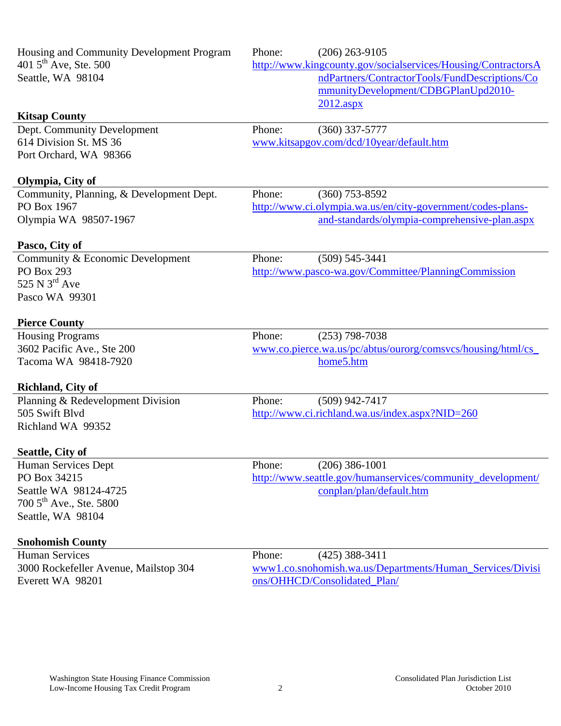| Housing and Community Development Program<br>401 $5^{\text{th}}$ Ave, Ste. 500<br>Seattle, WA 98104<br><b>Kitsap County</b> | Phone: | $(206)$ 263-9105<br>http://www.kingcounty.gov/socialservices/Housing/ContractorsA<br>ndPartners/ContractorTools/FundDescriptions/Co<br>mmunityDevelopment/CDBGPlanUpd2010-<br>$2012 \text{.aspx}$ |
|-----------------------------------------------------------------------------------------------------------------------------|--------|---------------------------------------------------------------------------------------------------------------------------------------------------------------------------------------------------|
| Dept. Community Development                                                                                                 | Phone: | $(360)$ 337-5777                                                                                                                                                                                  |
| 614 Division St. MS 36                                                                                                      |        | www.kitsapgov.com/dcd/10year/default.htm                                                                                                                                                          |
| Port Orchard, WA 98366                                                                                                      |        |                                                                                                                                                                                                   |
| Olympia, City of                                                                                                            |        |                                                                                                                                                                                                   |
| Community, Planning, & Development Dept.                                                                                    | Phone: | $(360)$ 753-8592                                                                                                                                                                                  |
| PO Box 1967                                                                                                                 |        | http://www.ci.olympia.wa.us/en/city-government/codes-plans-                                                                                                                                       |
| Olympia WA 98507-1967                                                                                                       |        | and-standards/olympia-comprehensive-plan.aspx                                                                                                                                                     |
| Pasco, City of                                                                                                              |        |                                                                                                                                                                                                   |
| Community & Economic Development                                                                                            | Phone: | $(509) 545 - 3441$                                                                                                                                                                                |
| PO Box 293                                                                                                                  |        | http://www.pasco-wa.gov/Committee/PlanningCommission                                                                                                                                              |
| 525 N $3^{\text{rd}}$ Ave                                                                                                   |        |                                                                                                                                                                                                   |
| Pasco WA 99301                                                                                                              |        |                                                                                                                                                                                                   |
| <b>Pierce County</b>                                                                                                        |        |                                                                                                                                                                                                   |
| <b>Housing Programs</b>                                                                                                     | Phone: | $(253)$ 798-7038                                                                                                                                                                                  |
| 3602 Pacific Ave., Ste 200                                                                                                  |        | www.co.pierce.wa.us/pc/abtus/ourorg/comsvcs/housing/html/cs_                                                                                                                                      |
| Tacoma WA 98418-7920                                                                                                        |        | home5.htm                                                                                                                                                                                         |
| <b>Richland, City of</b>                                                                                                    |        |                                                                                                                                                                                                   |
| Planning & Redevelopment Division                                                                                           | Phone: | $(509)$ 942-7417                                                                                                                                                                                  |
| 505 Swift Blvd                                                                                                              |        | http://www.ci.richland.wa.us/index.aspx?NID=260                                                                                                                                                   |
| Richland WA 99352                                                                                                           |        |                                                                                                                                                                                                   |
| Seattle, City of                                                                                                            |        |                                                                                                                                                                                                   |
| Human Services Dept                                                                                                         | Phone: | $(206)$ 386-1001                                                                                                                                                                                  |
| PO Box 34215                                                                                                                |        | http://www.seattle.gov/humanservices/community_development/                                                                                                                                       |
| Seattle WA 98124-4725                                                                                                       |        | conplan/plan/default.htm                                                                                                                                                                          |
| 700 5 <sup>th</sup> Ave., Ste. 5800                                                                                         |        |                                                                                                                                                                                                   |
| Seattle, WA 98104                                                                                                           |        |                                                                                                                                                                                                   |
| <b>Snohomish County</b>                                                                                                     |        |                                                                                                                                                                                                   |
| <b>Human Services</b>                                                                                                       | Phone: | $(425)$ 388-3411                                                                                                                                                                                  |
| 3000 Rockefeller Avenue, Mailstop 304                                                                                       |        | www1.co.snohomish.wa.us/Departments/Human_Services/Divisi                                                                                                                                         |
| Everett WA 98201                                                                                                            |        | ons/OHHCD/Consolidated_Plan/                                                                                                                                                                      |
|                                                                                                                             |        |                                                                                                                                                                                                   |